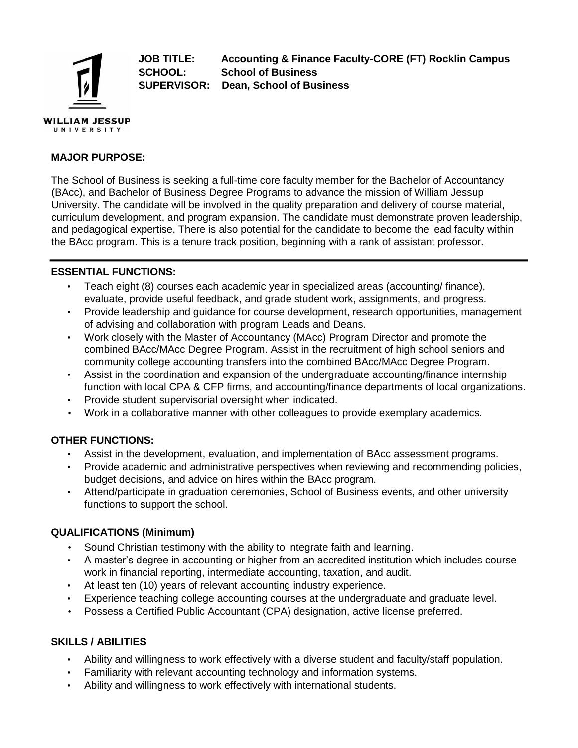

**JOB TITLE: Accounting & Finance Faculty-CORE (FT) Rocklin Campus SCHOOL: School of Business SUPERVISOR: Dean, School of Business** 

# **MAJOR PURPOSE:**

The School of Business is seeking a full-time core faculty member for the Bachelor of Accountancy (BAcc), and Bachelor of Business Degree Programs to advance the mission of William Jessup University. The candidate will be involved in the quality preparation and delivery of course material, curriculum development, and program expansion. The candidate must demonstrate proven leadership, and pedagogical expertise. There is also potential for the candidate to become the lead faculty within the BAcc program. This is a tenure track position, beginning with a rank of assistant professor.

#### **ESSENTIAL FUNCTIONS:**

- Teach eight (8) courses each academic year in specialized areas (accounting/ finance), evaluate, provide useful feedback, and grade student work, assignments, and progress.
- Provide leadership and guidance for course development, research opportunities, management of advising and collaboration with program Leads and Deans.
- Work closely with the Master of Accountancy (MAcc) Program Director and promote the combined BAcc/MAcc Degree Program. Assist in the recruitment of high school seniors and community college accounting transfers into the combined BAcc/MAcc Degree Program.
- Assist in the coordination and expansion of the undergraduate accounting/finance internship function with local CPA & CFP firms, and accounting/finance departments of local organizations.
- Provide student supervisorial oversight when indicated.
- Work in a collaborative manner with other colleagues to provide exemplary academics.

# **OTHER FUNCTIONS:**

- Assist in the development, evaluation, and implementation of BAcc assessment programs.
- Provide academic and administrative perspectives when reviewing and recommending policies, budget decisions, and advice on hires within the BAcc program.
- Attend/participate in graduation ceremonies, School of Business events, and other university functions to support the school.

# **QUALIFICATIONS (Minimum)**

- Sound Christian testimony with the ability to integrate faith and learning.
- A master's degree in accounting or higher from an accredited institution which includes course work in financial reporting, intermediate accounting, taxation, and audit.
- At least ten (10) years of relevant accounting industry experience.
- Experience teaching college accounting courses at the undergraduate and graduate level.
- Possess a Certified Public Accountant (CPA) designation, active license preferred.

# **SKILLS / ABILITIES**

- Ability and willingness to work effectively with a diverse student and faculty/staff population.
- Familiarity with relevant accounting technology and information systems.
- Ability and willingness to work effectively with international students.